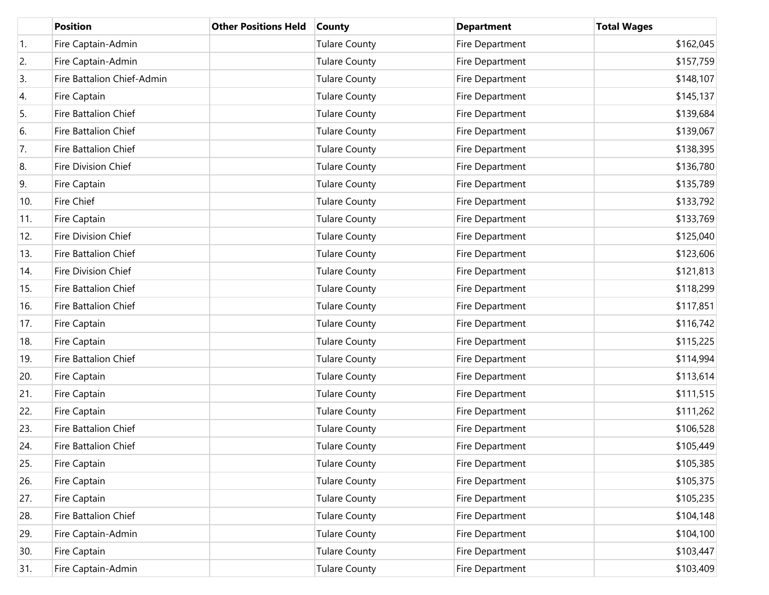|     | <b>Position</b>             | <b>Other Positions Held</b> | <b>County</b>        | <b>Department</b> | <b>Total Wages</b> |
|-----|-----------------------------|-----------------------------|----------------------|-------------------|--------------------|
| 1.  | Fire Captain-Admin          |                             | <b>Tulare County</b> | Fire Department   | \$162,045          |
| 2.  | Fire Captain-Admin          |                             | <b>Tulare County</b> | Fire Department   | \$157,759          |
| 3.  | Fire Battalion Chief-Admin  |                             | <b>Tulare County</b> | Fire Department   | \$148,107          |
| 4.  | Fire Captain                |                             | <b>Tulare County</b> | Fire Department   | \$145,137          |
| 5.  | Fire Battalion Chief        |                             | <b>Tulare County</b> | Fire Department   | \$139,684          |
| 6.  | Fire Battalion Chief        |                             | <b>Tulare County</b> | Fire Department   | \$139,067          |
| 7.  | Fire Battalion Chief        |                             | <b>Tulare County</b> | Fire Department   | \$138,395          |
| 8.  | Fire Division Chief         |                             | <b>Tulare County</b> | Fire Department   | \$136,780          |
| 9.  | Fire Captain                |                             | <b>Tulare County</b> | Fire Department   | \$135,789          |
| 10. | Fire Chief                  |                             | <b>Tulare County</b> | Fire Department   | \$133,792          |
| 11. | Fire Captain                |                             | <b>Tulare County</b> | Fire Department   | \$133,769          |
| 12. | Fire Division Chief         |                             | <b>Tulare County</b> | Fire Department   | \$125,040          |
| 13. | Fire Battalion Chief        |                             | <b>Tulare County</b> | Fire Department   | \$123,606          |
| 14. | Fire Division Chief         |                             | <b>Tulare County</b> | Fire Department   | \$121,813          |
| 15. | Fire Battalion Chief        |                             | <b>Tulare County</b> | Fire Department   | \$118,299          |
| 16. | Fire Battalion Chief        |                             | <b>Tulare County</b> | Fire Department   | \$117,851          |
| 17. | Fire Captain                |                             | <b>Tulare County</b> | Fire Department   | \$116,742          |
| 18. | Fire Captain                |                             | <b>Tulare County</b> | Fire Department   | \$115,225          |
| 19. | Fire Battalion Chief        |                             | <b>Tulare County</b> | Fire Department   | \$114,994          |
| 20. | Fire Captain                |                             | <b>Tulare County</b> | Fire Department   | \$113,614          |
| 21. | Fire Captain                |                             | <b>Tulare County</b> | Fire Department   | \$111,515          |
| 22. | Fire Captain                |                             | <b>Tulare County</b> | Fire Department   | \$111,262          |
| 23. | Fire Battalion Chief        |                             | <b>Tulare County</b> | Fire Department   | \$106,528          |
| 24. | <b>Fire Battalion Chief</b> |                             | <b>Tulare County</b> | Fire Department   | \$105,449          |
| 25. | Fire Captain                |                             | <b>Tulare County</b> | Fire Department   | \$105,385          |
| 26. | Fire Captain                |                             | <b>Tulare County</b> | Fire Department   | \$105,375          |
| 27. | Fire Captain                |                             | <b>Tulare County</b> | Fire Department   | \$105,235          |
| 28. | Fire Battalion Chief        |                             | <b>Tulare County</b> | Fire Department   | \$104,148          |
| 29. | Fire Captain-Admin          |                             | <b>Tulare County</b> | Fire Department   | \$104,100          |
| 30. | Fire Captain                |                             | <b>Tulare County</b> | Fire Department   | \$103,447          |
| 31. | Fire Captain-Admin          |                             | <b>Tulare County</b> | Fire Department   | \$103,409          |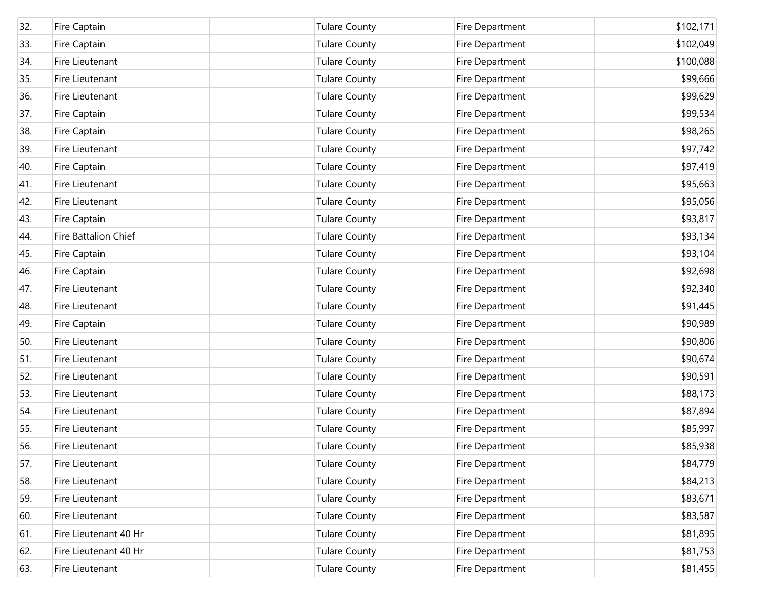| 32. | Fire Captain          | <b>Tulare County</b> | Fire Department | \$102,171 |
|-----|-----------------------|----------------------|-----------------|-----------|
| 33. | Fire Captain          | <b>Tulare County</b> | Fire Department | \$102,049 |
| 34. | Fire Lieutenant       | <b>Tulare County</b> | Fire Department | \$100,088 |
| 35. | Fire Lieutenant       | <b>Tulare County</b> | Fire Department | \$99,666  |
| 36. | Fire Lieutenant       | <b>Tulare County</b> | Fire Department | \$99,629  |
| 37. | Fire Captain          | <b>Tulare County</b> | Fire Department | \$99,534  |
| 38. | Fire Captain          | <b>Tulare County</b> | Fire Department | \$98,265  |
| 39. | Fire Lieutenant       | <b>Tulare County</b> | Fire Department | \$97,742  |
| 40. | Fire Captain          | <b>Tulare County</b> | Fire Department | \$97,419  |
| 41. | Fire Lieutenant       | <b>Tulare County</b> | Fire Department | \$95,663  |
| 42. | Fire Lieutenant       | <b>Tulare County</b> | Fire Department | \$95,056  |
| 43. | Fire Captain          | <b>Tulare County</b> | Fire Department | \$93,817  |
| 44. | Fire Battalion Chief  | <b>Tulare County</b> | Fire Department | \$93,134  |
| 45. | Fire Captain          | <b>Tulare County</b> | Fire Department | \$93,104  |
| 46. | Fire Captain          | <b>Tulare County</b> | Fire Department | \$92,698  |
| 47. | Fire Lieutenant       | <b>Tulare County</b> | Fire Department | \$92,340  |
| 48. | Fire Lieutenant       | <b>Tulare County</b> | Fire Department | \$91,445  |
| 49. | Fire Captain          | <b>Tulare County</b> | Fire Department | \$90,989  |
| 50. | Fire Lieutenant       | <b>Tulare County</b> | Fire Department | \$90,806  |
| 51. | Fire Lieutenant       | <b>Tulare County</b> | Fire Department | \$90,674  |
| 52. | Fire Lieutenant       | <b>Tulare County</b> | Fire Department | \$90,591  |
| 53. | Fire Lieutenant       | <b>Tulare County</b> | Fire Department | \$88,173  |
| 54. | Fire Lieutenant       | <b>Tulare County</b> | Fire Department | \$87,894  |
| 55. | Fire Lieutenant       | <b>Tulare County</b> | Fire Department | \$85,997  |
| 56. | Fire Lieutenant       | <b>Tulare County</b> | Fire Department | \$85,938  |
| 57. | Fire Lieutenant       | <b>Tulare County</b> | Fire Department | \$84,779  |
| 58. | Fire Lieutenant       | Tulare County        | Fire Department | \$84,213  |
| 59. | Fire Lieutenant       | <b>Tulare County</b> | Fire Department | \$83,671  |
| 60. | Fire Lieutenant       | Tulare County        | Fire Department | \$83,587  |
| 61. | Fire Lieutenant 40 Hr | <b>Tulare County</b> | Fire Department | \$81,895  |
| 62. | Fire Lieutenant 40 Hr | <b>Tulare County</b> | Fire Department | \$81,753  |
| 63. | Fire Lieutenant       | <b>Tulare County</b> | Fire Department | \$81,455  |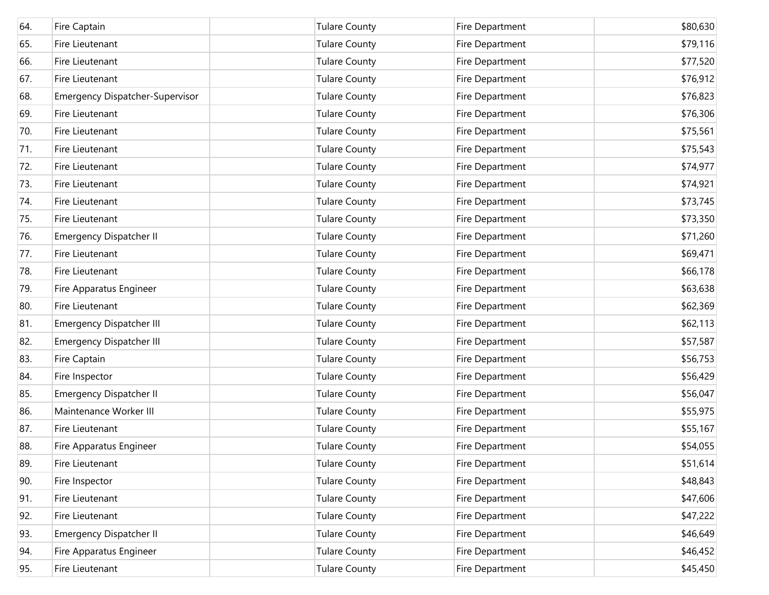| 64. | Fire Captain                           | <b>Tulare County</b> | Fire Department | \$80,630 |
|-----|----------------------------------------|----------------------|-----------------|----------|
| 65. | Fire Lieutenant                        | <b>Tulare County</b> | Fire Department | \$79,116 |
| 66. | Fire Lieutenant                        | <b>Tulare County</b> | Fire Department | \$77,520 |
| 67. | Fire Lieutenant                        | <b>Tulare County</b> | Fire Department | \$76,912 |
| 68. | <b>Emergency Dispatcher-Supervisor</b> | <b>Tulare County</b> | Fire Department | \$76,823 |
| 69. | Fire Lieutenant                        | <b>Tulare County</b> | Fire Department | \$76,306 |
| 70. | Fire Lieutenant                        | <b>Tulare County</b> | Fire Department | \$75,561 |
| 71. | Fire Lieutenant                        | <b>Tulare County</b> | Fire Department | \$75,543 |
| 72. | Fire Lieutenant                        | <b>Tulare County</b> | Fire Department | \$74,977 |
| 73. | Fire Lieutenant                        | <b>Tulare County</b> | Fire Department | \$74,921 |
| 74. | Fire Lieutenant                        | <b>Tulare County</b> | Fire Department | \$73,745 |
| 75. | Fire Lieutenant                        | <b>Tulare County</b> | Fire Department | \$73,350 |
| 76. | <b>Emergency Dispatcher II</b>         | <b>Tulare County</b> | Fire Department | \$71,260 |
| 77. | Fire Lieutenant                        | <b>Tulare County</b> | Fire Department | \$69,471 |
| 78. | Fire Lieutenant                        | <b>Tulare County</b> | Fire Department | \$66,178 |
| 79. | Fire Apparatus Engineer                | <b>Tulare County</b> | Fire Department | \$63,638 |
| 80. | Fire Lieutenant                        | <b>Tulare County</b> | Fire Department | \$62,369 |
| 81. | <b>Emergency Dispatcher III</b>        | <b>Tulare County</b> | Fire Department | \$62,113 |
| 82. | <b>Emergency Dispatcher III</b>        | <b>Tulare County</b> | Fire Department | \$57,587 |
| 83. | Fire Captain                           | <b>Tulare County</b> | Fire Department | \$56,753 |
| 84. | Fire Inspector                         | <b>Tulare County</b> | Fire Department | \$56,429 |
| 85. | <b>Emergency Dispatcher II</b>         | <b>Tulare County</b> | Fire Department | \$56,047 |
| 86. | Maintenance Worker III                 | <b>Tulare County</b> | Fire Department | \$55,975 |
| 87. | Fire Lieutenant                        | <b>Tulare County</b> | Fire Department | \$55,167 |
| 88. | Fire Apparatus Engineer                | <b>Tulare County</b> | Fire Department | \$54,055 |
| 89. | Fire Lieutenant                        | <b>Tulare County</b> | Fire Department | \$51,614 |
| 90. | Fire Inspector                         | <b>Tulare County</b> | Fire Department | \$48,843 |
| 91. | Fire Lieutenant                        | <b>Tulare County</b> | Fire Department | \$47,606 |
| 92. | Fire Lieutenant                        | <b>Tulare County</b> | Fire Department | \$47,222 |
| 93. | <b>Emergency Dispatcher II</b>         | <b>Tulare County</b> | Fire Department | \$46,649 |
| 94. | Fire Apparatus Engineer                | <b>Tulare County</b> | Fire Department | \$46,452 |
| 95. | Fire Lieutenant                        | <b>Tulare County</b> | Fire Department | \$45,450 |